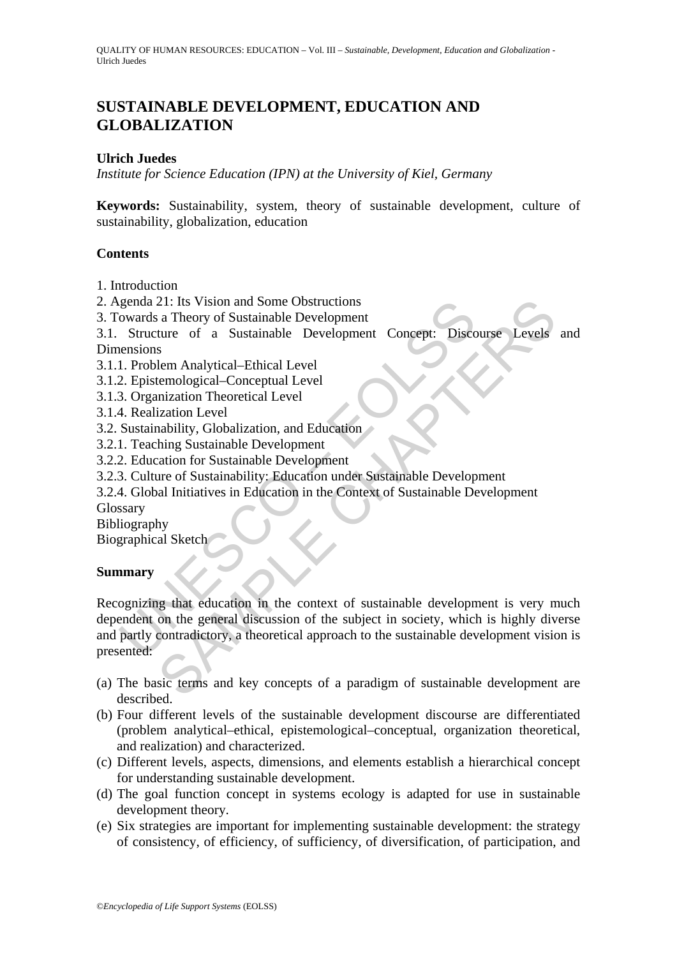# **SUSTAINABLE DEVELOPMENT, EDUCATION AND GLOBALIZATION**

#### **Ulrich Juedes**

*Institute for Science Education (IPN) at the University of Kiel, Germany* 

**Keywords:** Sustainability, system, theory of sustainable development, culture of sustainability, globalization, education

#### **Contents**

- 1. Introduction
- 2. Agenda 21: Its Vision and Some Obstructions
- 3. Towards a Theory of Sustainable Development

3.1. Structure of a Sustainable Development Concept: Discourse Levels and Dimensions

- 3.1.1. Problem Analytical–Ethical Level
- 3.1.2. Epistemological–Conceptual Level
- 3.1.3. Organization Theoretical Level
- 3.1.4. Realization Level
- 3.2. Sustainability, Globalization, and Education
- 3.2.1. Teaching Sustainable Development
- 3.2.2. Education for Sustainable Development
- 3.2.3. Culture of Sustainability: Education under Sustainable Development
- 3.2.4. Global Initiatives in Education in the Context of Sustainable Development

Glossary

Bibliography

Biographical Sketch

## **Summary**

Solvential 21: Its Vision and Some Obstructions<br>
Solventare of a Sustainable Development<br>
Structure of a Sustainable Development<br>
Concept: Disconsite Structure of a Sustainable Development<br>
1. Problem Analytical–Ethical Le 21: Its Vision and Some Obstructions<br>
12: Its Vision and Some Obstructions<br>
13. Theory of Sustainable Development<br>
ture of a Sustainable Development<br>
selem Analytical-Ethical Level<br>
mization Theoretical Level<br>
imization Th Recognizing that education in the context of sustainable development is very much dependent on the general discussion of the subject in society, which is highly diverse and partly contradictory, a theoretical approach to the sustainable development vision is presented:

- (a) The basic terms and key concepts of a paradigm of sustainable development are described.
- (b) Four different levels of the sustainable development discourse are differentiated (problem analytical–ethical, epistemological–conceptual, organization theoretical, and realization) and characterized.
- (c) Different levels, aspects, dimensions, and elements establish a hierarchical concept for understanding sustainable development.
- (d) The goal function concept in systems ecology is adapted for use in sustainable development theory.
- (e) Six strategies are important for implementing sustainable development: the strategy of consistency, of efficiency, of sufficiency, of diversification, of participation, and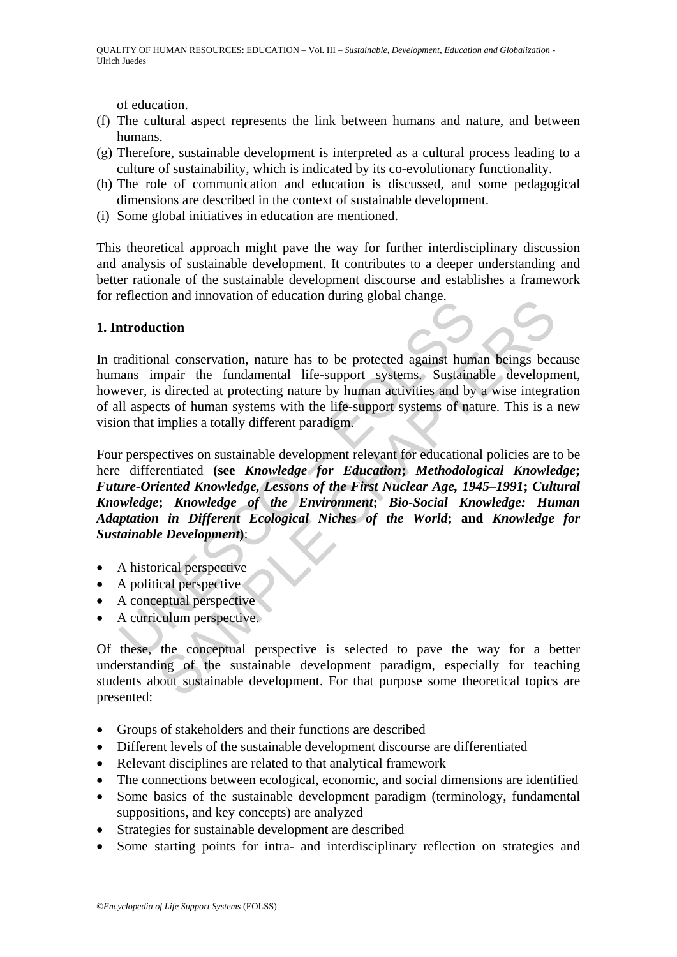of education.

- (f) The cultural aspect represents the link between humans and nature, and between humans.
- (g) Therefore, sustainable development is interpreted as a cultural process leading to a culture of sustainability, which is indicated by its co-evolutionary functionality.
- (h) The role of communication and education is discussed, and some pedagogical dimensions are described in the context of sustainable development.
- (i) Some global initiatives in education are mentioned.

This theoretical approach might pave the way for further interdisciplinary discussion and analysis of sustainable development. It contributes to a deeper understanding and better rationale of the sustainable development discourse and establishes a framework for reflection and innovation of education during global change.

## **1. Introduction**

In traditional conservation, nature has to be protected against human beings because humans impair the fundamental life-support systems. Sustainable development, however, is directed at protecting nature by human activities and by a wise integration of all aspects of human systems with the life-support systems of nature. This is a new vision that implies a totally different paradigm.

introduction<br>
and into values of exactions damng goods enally.<br>
Introduction<br>
anas impair the fundamental life-support systems. Sustaina<br>
all aspects of human systems with the life-support systems of nat<br>
all aspects of hu ori and innovation of cateation during giood change.<br>
etion<br>
and conservation, nature has to be protected against human beings becaping<br>
a finected at protecting nature by human activities and by a wise integral<br>
states of Four perspectives on sustainable development relevant for educational policies are to be here differentiated **(see** *Knowledge for Education***;** *Methodological Knowledge***;**  *Future-Oriented Knowledge, Lessons of the First Nuclear Age, 1945–1991***;** *Cultural Knowledge***;** *Knowledge of the Environment***;** *Bio-Social Knowledge: Human Adaptation in Different Ecological Niches of the World***; and** *Knowledge for Sustainable Development***)**:

- A historical perspective
- A political perspective
- A conceptual perspective
- A curriculum perspective.

Of these, the conceptual perspective is selected to pave the way for a better understanding of the sustainable development paradigm, especially for teaching students about sustainable development. For that purpose some theoretical topics are presented:

- Groups of stakeholders and their functions are described
- Different levels of the sustainable development discourse are differentiated
- Relevant disciplines are related to that analytical framework
- The connections between ecological, economic, and social dimensions are identified
- Some basics of the sustainable development paradigm (terminology, fundamental suppositions, and key concepts) are analyzed
- Strategies for sustainable development are described
- Some starting points for intra- and interdisciplinary reflection on strategies and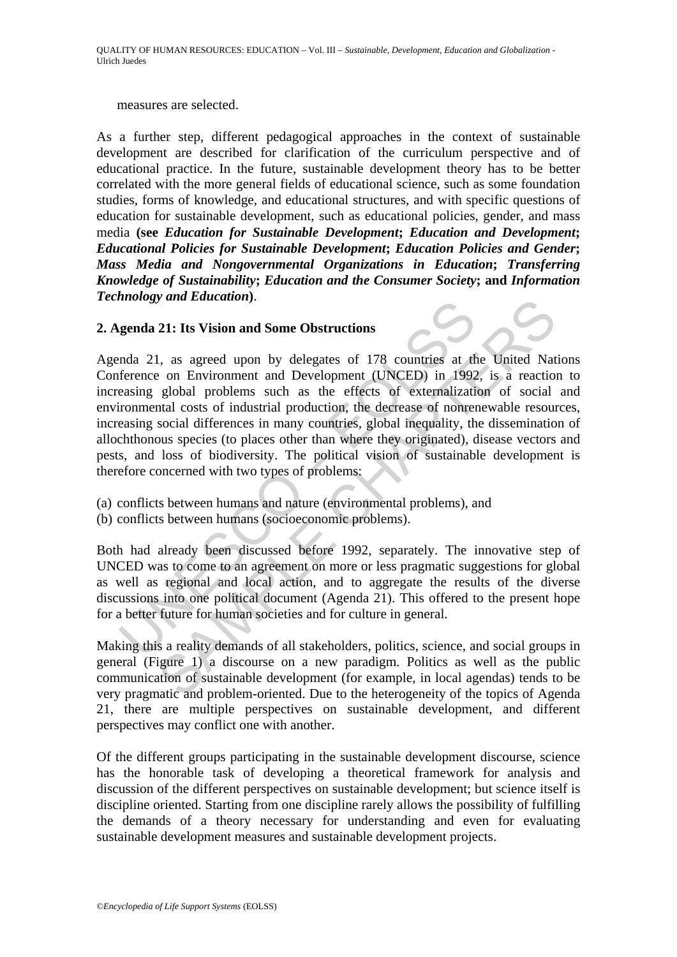measures are selected.

As a further step, different pedagogical approaches in the context of sustainable development are described for clarification of the curriculum perspective and of educational practice. In the future, sustainable development theory has to be better correlated with the more general fields of educational science, such as some foundation studies, forms of knowledge, and educational structures, and with specific questions of education for sustainable development, such as educational policies, gender, and mass media **(see** *Education for Sustainable Development***;** *Education and Development***;**  *Educational Policies for Sustainable Development***;** *Education Policies and Gender***;**  *Mass Media and Nongovernmental Organizations in Education***;** *Transferring Knowledge of Sustainability***;** *Education and the Consumer Society***; and** *Information Technology and Education***)**.

#### **2. Agenda 21: Its Vision and Some Obstructions**

genda 21: Its Vision and Some Obstructions<br>genda 21: Its Vision and Some Obstructions<br>mda 21, as agreed upon by delegates of 178 countries at the<br>ference on Environment and Development (UNCED) in 1992<br>easing global problem 21: Its Vision and Some Obstructions<br>
1, as agreed upon by delegates of 178 countries at the United Nat<br>
2. on Environment and Development (UNCED) in 1992, is a reaction<br>
global problems such as the effects of externalizat Agenda 21, as agreed upon by delegates of 178 countries at the United Nations Conference on Environment and Development (UNCED) in 1992, is a reaction to increasing global problems such as the effects of externalization of social and environmental costs of industrial production, the decrease of nonrenewable resources, increasing social differences in many countries, global inequality, the dissemination of allochthonous species (to places other than where they originated), disease vectors and pests, and loss of biodiversity. The political vision of sustainable development is therefore concerned with two types of problems:

- (a) conflicts between humans and nature (environmental problems), and
- (b) conflicts between humans (socioeconomic problems).

Both had already been discussed before 1992, separately. The innovative step of UNCED was to come to an agreement on more or less pragmatic suggestions for global as well as regional and local action, and to aggregate the results of the diverse discussions into one political document (Agenda 21). This offered to the present hope for a better future for human societies and for culture in general.

Making this a reality demands of all stakeholders, politics, science, and social groups in general (Figure 1) a discourse on a new paradigm. Politics as well as the public communication of sustainable development (for example, in local agendas) tends to be very pragmatic and problem-oriented. Due to the heterogeneity of the topics of Agenda 21, there are multiple perspectives on sustainable development, and different perspectives may conflict one with another.

Of the different groups participating in the sustainable development discourse, science has the honorable task of developing a theoretical framework for analysis and discussion of the different perspectives on sustainable development; but science itself is discipline oriented. Starting from one discipline rarely allows the possibility of fulfilling the demands of a theory necessary for understanding and even for evaluating sustainable development measures and sustainable development projects.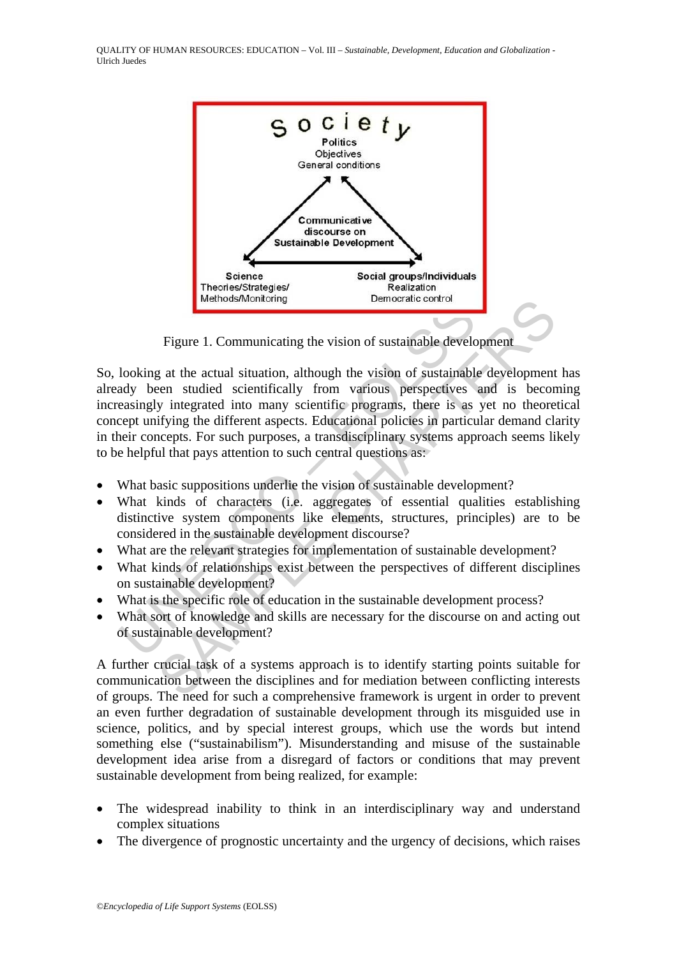

Figure 1. Communicating the vision of sustainable development

Figure 1. Communicating the vision of sustainable developmental<br>looking at the actual situation, although the vision of sustainable<br>day been studied scientifically from various perspectives<br>easingly integrated into many sc Memorator control<br>
Figure 1. Communicating the vision of sustainable development<br>
earn studied scientifically from various perspectives and is becom<br>
yintegrated into many scientific programs, there is as yet no theore<br>
yi So, looking at the actual situation, although the vision of sustainable development has already been studied scientifically from various perspectives and is becoming increasingly integrated into many scientific programs, there is as yet no theoretical concept unifying the different aspects. Educational policies in particular demand clarity in their concepts. For such purposes, a transdisciplinary systems approach seems likely to be helpful that pays attention to such central questions as:

- What basic suppositions underlie the vision of sustainable development?
- What kinds of characters (i.e. aggregates of essential qualities establishing distinctive system components like elements, structures, principles) are to be considered in the sustainable development discourse?
- What are the relevant strategies for implementation of sustainable development?
- What kinds of relationships exist between the perspectives of different disciplines on sustainable development?
- What is the specific role of education in the sustainable development process?
- What sort of knowledge and skills are necessary for the discourse on and acting out of sustainable development?

A further crucial task of a systems approach is to identify starting points suitable for communication between the disciplines and for mediation between conflicting interests of groups. The need for such a comprehensive framework is urgent in order to prevent an even further degradation of sustainable development through its misguided use in science, politics, and by special interest groups, which use the words but intend something else ("sustainabilism"). Misunderstanding and misuse of the sustainable development idea arise from a disregard of factors or conditions that may prevent sustainable development from being realized, for example:

- The widespread inability to think in an interdisciplinary way and understand complex situations
- The divergence of prognostic uncertainty and the urgency of decisions, which raises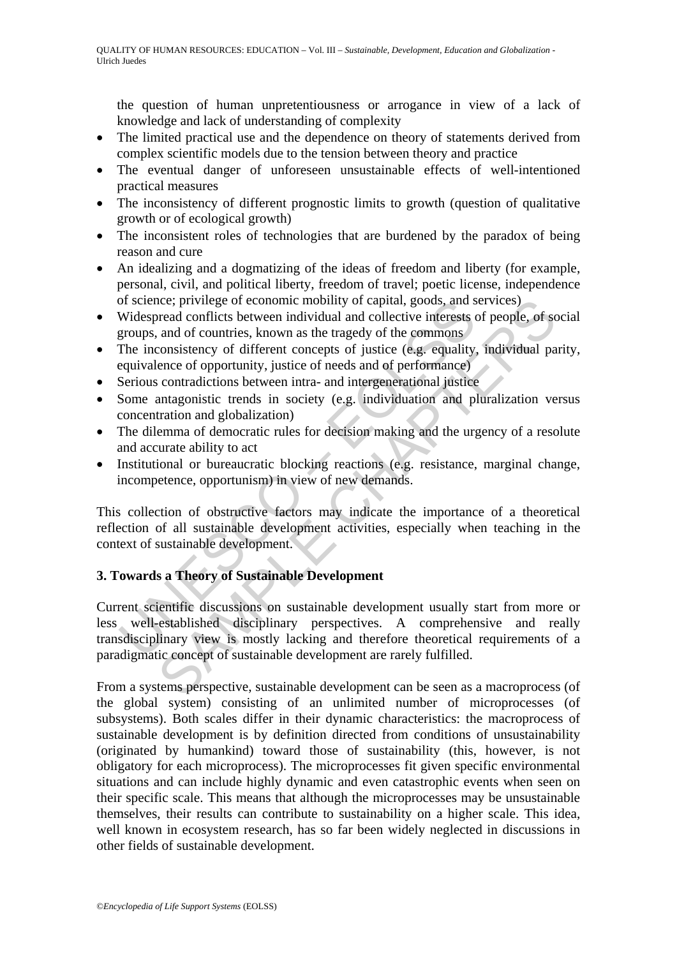the question of human unpretentiousness or arrogance in view of a lack of knowledge and lack of understanding of complexity

- The limited practical use and the dependence on theory of statements derived from complex scientific models due to the tension between theory and practice
- The eventual danger of unforeseen unsustainable effects of well-intentioned practical measures
- The inconsistency of different prognostic limits to growth (question of qualitative growth or of ecological growth)
- The inconsistent roles of technologies that are burdened by the paradox of being reason and cure
- An idealizing and a dogmatizing of the ideas of freedom and liberty (for example, personal, civil, and political liberty, freedom of travel; poetic license, independence of science; privilege of economic mobility of capital, goods, and services)
- Widespread conflicts between individual and collective interests of people, of social groups, and of countries, known as the tragedy of the commons
- The inconsistency of different concepts of justice (e.g. equality, individual parity, equivalence of opportunity, justice of needs and of performance)
- Serious contradictions between intra- and intergenerational justice
- Some antagonistic trends in society (e.g. individuation and pluralization versus concentration and globalization)
- The dilemma of democratic rules for decision making and the urgency of a resolute and accurate ability to act
- Institutional or bureaucratic blocking reactions (e.g. resistance, marginal change, incompetence, opportunism) in view of new demands.

This collection of obstructive factors may indicate the importance of a theoretical reflection of all sustainable development activities, especially when teaching in the context of sustainable development.

## **3. Towards a Theory of Sustainable Development**

of science; privilege of economic mobility of capital, goods, and s<br>Widespread conflicts between individual and collective interests of<br>groups, and of countries, known as the tragedy of the commons<br>The inconsistency of dif ince; privilege of economic mobility of capital, goods, and services)<br>read conflicts between individual and collective interests of people, of sc<br>and of countries, known as the tragedy of the commons<br>consistency of differe Current scientific discussions on sustainable development usually start from more or less well-established disciplinary perspectives. A comprehensive and really transdisciplinary view is mostly lacking and therefore theoretical requirements of a paradigmatic concept of sustainable development are rarely fulfilled.

From a systems perspective, sustainable development can be seen as a macroprocess (of the global system) consisting of an unlimited number of microprocesses (of subsystems). Both scales differ in their dynamic characteristics: the macroprocess of sustainable development is by definition directed from conditions of unsustainability (originated by humankind) toward those of sustainability (this, however, is not obligatory for each microprocess). The microprocesses fit given specific environmental situations and can include highly dynamic and even catastrophic events when seen on their specific scale. This means that although the microprocesses may be unsustainable themselves, their results can contribute to sustainability on a higher scale. This idea, well known in ecosystem research, has so far been widely neglected in discussions in other fields of sustainable development.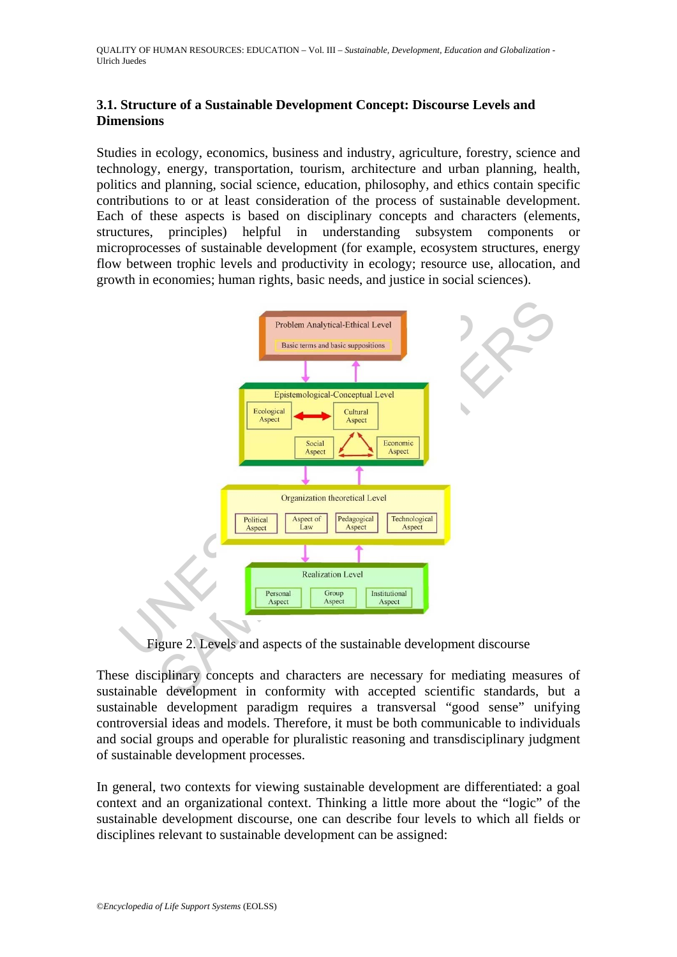#### **3.1. Structure of a Sustainable Development Concept: Discourse Levels and Dimensions**

Studies in ecology, economics, business and industry, agriculture, forestry, science and technology, energy, transportation, tourism, architecture and urban planning, health, politics and planning, social science, education, philosophy, and ethics contain specific contributions to or at least consideration of the process of sustainable development. Each of these aspects is based on disciplinary concepts and characters (elements, structures, principles) helpful in understanding subsystem components or microprocesses of sustainable development (for example, ecosystem structures, energy flow between trophic levels and productivity in ecology; resource use, allocation, and growth in economies; human rights, basic needs, and justice in social sciences).



Figure 2. Levels and aspects of the sustainable development discourse

These disciplinary concepts and characters are necessary for mediating measures of sustainable development in conformity with accepted scientific standards, but a sustainable development paradigm requires a transversal "good sense" unifying controversial ideas and models. Therefore, it must be both communicable to individuals and social groups and operable for pluralistic reasoning and transdisciplinary judgment of sustainable development processes.

In general, two contexts for viewing sustainable development are differentiated: a goal context and an organizational context. Thinking a little more about the "logic" of the sustainable development discourse, one can describe four levels to which all fields or disciplines relevant to sustainable development can be assigned: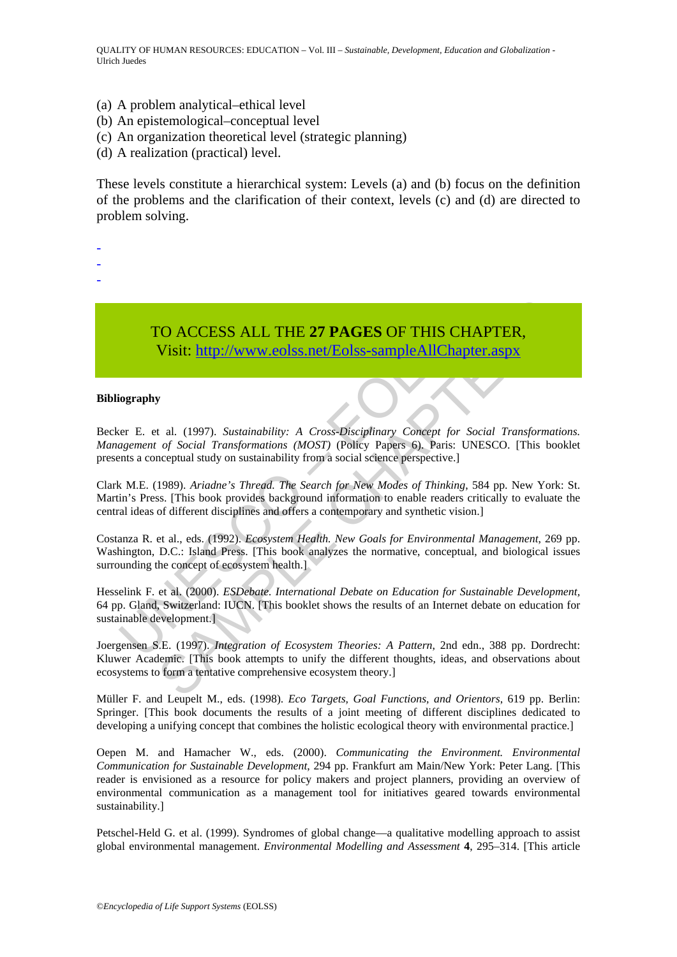- (a) A problem analytical–ethical level
- (b) An epistemological–conceptual level
- (c) An organization theoretical level (strategic planning)
- (d) A realization (practical) level.

These levels constitute a hierarchical system: Levels (a) and (b) focus on the definition of the problems and the clarification of their context, levels (c) and (d) are directed to problem solving.

- -
- -
- -

TO ACCESS ALL THE **27 PAGES** OF THIS CHAPTER, Visit: http://www.eolss.net/Eolss-sampleAllChapter.aspx

#### **Bibliography**

TO ACCESS ALL THE 27 PAGES OF THIS CHANNET VISIT: UNIT: UNIT: UNIT: UNIT: UNIT: UNIT: UNIT: UNIT: UNIT: UNIT: UNIT: UNIT: UNIT: UNIT: UNIT: UNIT: UNIT: UNIT: UNIT: UNIT: UNIT: UNIT: UNIT: UNIT: UNIT: UNIT: UNIT: UNIT: UNIT **FO ACCESS ALL THE 27 PAGES OF THIS CHAPTER,**<br>
Visit:  $\frac{http://www.eolss.net/Eolss-sampleAllChapter, aspx}{http://www.eolss.net/Eolss-sampleAllChapter, aspx}$ <br>
v<br>
t al. (1997). *Sustainability: A Cross-Disciplinary Concept for Social Transformation of Social Transformations (MOST) (P* Becker E. et al. (1997). *Sustainability: A Cross-Disciplinary Concept for Social Transformations. Management of Social Transformations (MOST)* (Policy Papers 6). Paris: UNESCO. [This booklet presents a conceptual study on sustainability from a social science perspective.]

Clark M.E. (1989). *Ariadne's Thread. The Search for New Modes of Thinking*, 584 pp. New York: St. Martin's Press. [This book provides background information to enable readers critically to evaluate the central ideas of different disciplines and offers a contemporary and synthetic vision.]

Costanza R. et al., eds. (1992). *Ecosystem Health. New Goals for Environmental Management*, 269 pp. Washington, D.C.: Island Press. [This book analyzes the normative, conceptual, and biological issues surrounding the concept of ecosystem health.]

Hesselink F. et al. (2000). *ESDebate. International Debate on Education for Sustainable Development,* 64 pp. Gland, Switzerland: IUCN. [This booklet shows the results of an Internet debate on education for sustainable development.]

Joergensen S.E. (1997). *Integration of Ecosystem Theories: A Pattern*, 2nd edn., 388 pp. Dordrecht: Kluwer Academic. [This book attempts to unify the different thoughts, ideas, and observations about ecosystems to form a tentative comprehensive ecosystem theory.]

Müller F. and Leupelt M., eds. (1998). *Eco Targets, Goal Functions, and Orientors*, 619 pp. Berlin: Springer. [This book documents the results of a joint meeting of different disciplines dedicated to developing a unifying concept that combines the holistic ecological theory with environmental practice.]

Oepen M. and Hamacher W., eds. (2000). *Communicating the Environment. Environmental Communication for Sustainable Development*, 294 pp. Frankfurt am Main/New York: Peter Lang. [This reader is envisioned as a resource for policy makers and project planners, providing an overview of environmental communication as a management tool for initiatives geared towards environmental sustainability.]

Petschel-Held G. et al. (1999). Syndromes of global change—a qualitative modelling approach to assist global environmental management. *Environmental Modelling and Assessment* **4**, 295–314. [This article